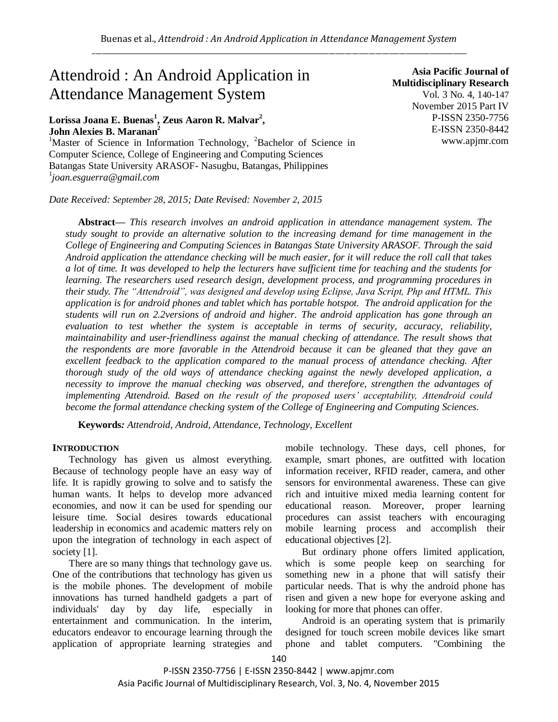# Attendroid : An Android Application in Attendance Management System

# **Lorissa Joana E. Buenas<sup>1</sup> , Zeus Aaron R. Malvar<sup>2</sup> , John Alexies B. Maranan<sup>2</sup>**

<sup>1</sup>Master of Science in Information Technology,  ${}^{2}$ Bachelor of Science in Computer Science, College of Engineering and Computing Sciences Batangas State University ARASOF- Nasugbu, Batangas, Philippines 1 *joan.esguerra@gmail.com*

*Date Received: September 28, 2015; Date Revised: November 2, 2015*

**Asia Pacific Journal of Multidisciplinary Research** Vol. 3 No. 4, 140-147 November 2015 Part IV P-ISSN 2350-7756 E-ISSN 2350-8442 www.apjmr.com

**Abstract—** *This research involves an android application in attendance management system. The study sought to provide an alternative solution to the increasing demand for time management in the College of Engineering and Computing Sciences in Batangas State University ARASOF. Through the said Android application the attendance checking will be much easier, for it will reduce the roll call that takes a lot of time. It was developed to help the lecturers have sufficient time for teaching and the students for learning. The researchers used research design, development process, and programming procedures in their study. The "Attendroid", was designed and develop using Eclipse, Java Script, Php and HTML. This application is for android phones and tablet which has portable hotspot. The android application for the students will run on 2.2versions of android and higher. The android application has gone through an evaluation to test whether the system is acceptable in terms of security, accuracy, reliability, maintainability and user-friendliness against the manual checking of attendance. The result shows that the respondents are more favorable in the Attendroid because it can be gleaned that they gave an excellent feedback to the application compared to the manual process of attendance checking. After thorough study of the old ways of attendance checking against the newly developed application, a necessity to improve the manual checking was observed, and therefore, strengthen the advantages of implementing Attendroid. Based on the result of the proposed users' acceptability, Attendroid could become the formal attendance checking system of the College of Engineering and Computing Sciences.*

**Keywords***: Attendroid, Android, Attendance, Technology, Excellent*

## **INTRODUCTION**

Technology has given us almost everything. Because of technology people have an easy way of life. It is rapidly growing to solve and to satisfy the human wants. It helps to develop more advanced economies, and now it can be used for spending our leisure time. Social desires towards educational leadership in economics and academic matters rely on upon the integration of technology in each aspect of society [1].

There are so many things that technology gave us. One of the contributions that technology has given us is the mobile phones. The development of mobile innovations has turned handheld gadgets a part of individuals' day by day life, especially in entertainment and communication. In the interim, educators endeavor to encourage learning through the application of appropriate learning strategies and mobile technology. These days, cell phones, for example, smart phones, are outfitted with location information receiver, RFID reader, camera, and other sensors for environmental awareness. These can give rich and intuitive mixed media learning content for educational reason. Moreover, proper learning procedures can assist teachers with encouraging mobile learning process and accomplish their educational objectives [2].

But ordinary phone offers limited application, which is some people keep on searching for something new in a phone that will satisfy their particular needs. That is why the android phone has risen and given a new hope for everyone asking and looking for more that phones can offer.

Android is an operating system that is primarily designed for touch screen mobile devices like smart phone and tablet computers. "Combining the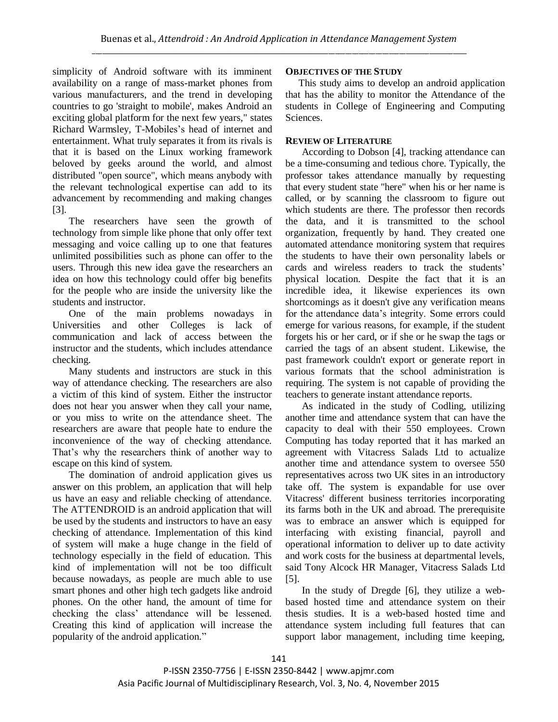simplicity of Android software with its imminent availability on a range of mass-market phones from various manufacturers, and the trend in developing countries to go 'straight to mobile', makes Android an exciting global platform for the next few years," states Richard Warmsley, T-Mobiles's head of internet and entertainment. What truly separates it from its rivals is that it is based on the Linux working framework beloved by geeks around the world, and almost distributed "open source", which means anybody with the relevant technological expertise can add to its advancement by recommending and making changes [3].

The researchers have seen the growth of technology from simple like phone that only offer text messaging and voice calling up to one that features unlimited possibilities such as phone can offer to the users. Through this new idea gave the researchers an idea on how this technology could offer big benefits for the people who are inside the university like the students and instructor.

One of the main problems nowadays in Universities and other Colleges is lack of communication and lack of access between the instructor and the students, which includes attendance checking.

Many students and instructors are stuck in this way of attendance checking. The researchers are also a victim of this kind of system. Either the instructor does not hear you answer when they call your name, or you miss to write on the attendance sheet. The researchers are aware that people hate to endure the inconvenience of the way of checking attendance. That's why the researchers think of another way to escape on this kind of system.

The domination of android application gives us answer on this problem, an application that will help us have an easy and reliable checking of attendance. The ATTENDROID is an android application that will be used by the students and instructors to have an easy checking of attendance. Implementation of this kind of system will make a huge change in the field of technology especially in the field of education. This kind of implementation will not be too difficult because nowadays, as people are much able to use smart phones and other high tech gadgets like android phones. On the other hand, the amount of time for checking the class' attendance will be lessened. Creating this kind of application will increase the popularity of the android application."

# **OBJECTIVES OF THE STUDY**

This study aims to develop an android application that has the ability to monitor the Attendance of the students in College of Engineering and Computing Sciences.

# **REVIEW OF LITERATURE**

According to Dobson [4], tracking attendance can be a time-consuming and tedious chore. Typically, the professor takes attendance manually by requesting that every student state "here" when his or her name is called, or by scanning the classroom to figure out which students are there. The professor then records the data, and it is transmitted to the school organization, frequently by hand. They created one automated attendance monitoring system that requires the students to have their own personality labels or cards and wireless readers to track the students' physical location. Despite the fact that it is an incredible idea, it likewise experiences its own shortcomings as it doesn't give any verification means for the attendance data's integrity. Some errors could emerge for various reasons, for example, if the student forgets his or her card, or if she or he swap the tags or carried the tags of an absent student. Likewise, the past framework couldn't export or generate report in various formats that the school administration is requiring. The system is not capable of providing the teachers to generate instant attendance reports.

As indicated in the study of Codling, utilizing another time and attendance system that can have the capacity to deal with their 550 employees. Crown Computing has today reported that it has marked an agreement with Vitacress Salads Ltd to actualize another time and attendance system to oversee 550 representatives across two UK sites in an introductory take off. The system is expandable for use over Vitacress' different business territories incorporating its farms both in the UK and abroad. The prerequisite was to embrace an answer which is equipped for interfacing with existing financial, payroll and operational information to deliver up to date activity and work costs for the business at departmental levels, said Tony Alcock HR Manager, Vitacress Salads Ltd [5].

In the study of Dregde [6], they utilize a webbased hosted time and attendance system on their thesis studies. It is a web-based hosted time and attendance system including full features that can support labor management, including time keeping,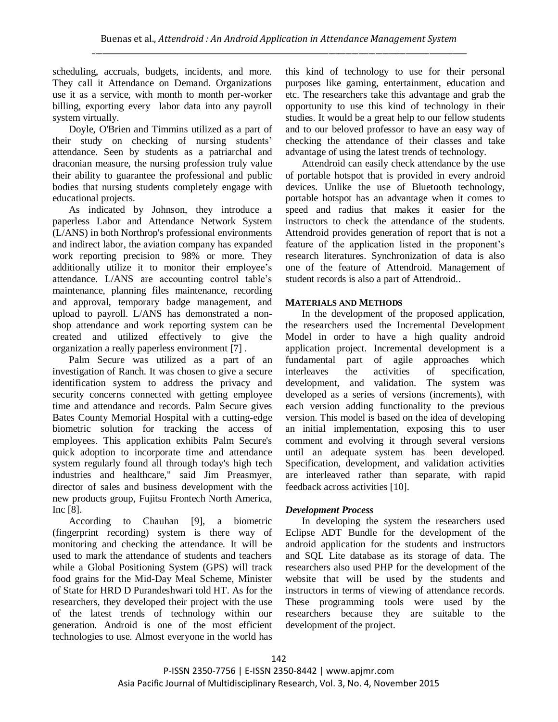scheduling, accruals, budgets, incidents, and more. They call it Attendance on Demand. Organizations use it as a service, with month to month per-worker billing, exporting every labor data into any payroll system virtually.

Doyle, O'Brien and Timmins utilized as a part of their study on checking of nursing students' attendance. Seen by students as a patriarchal and draconian measure, the nursing profession truly value their ability to guarantee the professional and public bodies that nursing students completely engage with educational projects.

As indicated by Johnson, they introduce a paperless Labor and Attendance Network System (L/ANS) in both Northrop's professional environments and indirect labor, the aviation company has expanded work reporting precision to 98% or more. They additionally utilize it to monitor their employee's attendance. L/ANS are accounting control table's maintenance, planning files maintenance, recording and approval, temporary badge management, and upload to payroll. L/ANS has demonstrated a nonshop attendance and work reporting system can be created and utilized effectively to give the organization a really paperless environment [7] .

Palm Secure was utilized as a part of an investigation of Ranch. It was chosen to give a secure identification system to address the privacy and security concerns connected with getting employee time and attendance and records. Palm Secure gives Bates County Memorial Hospital with a cutting-edge biometric solution for tracking the access of employees. This application exhibits Palm Secure's quick adoption to incorporate time and attendance system regularly found all through today's high tech industries and healthcare," said Jim Preasmyer, director of sales and business development with the new products group, Fujitsu Frontech North America, Inc [8].

According to Chauhan [9], a biometric (fingerprint recording) system is there way of monitoring and checking the attendance. It will be used to mark the attendance of students and teachers while a Global Positioning System (GPS) will track food grains for the Mid-Day Meal Scheme, Minister of State for HRD D Purandeshwari told HT. As for the researchers, they developed their project with the use of the latest trends of technology within our generation. Android is one of the most efficient technologies to use. Almost everyone in the world has this kind of technology to use for their personal purposes like gaming, entertainment, education and etc. The researchers take this advantage and grab the opportunity to use this kind of technology in their studies. It would be a great help to our fellow students and to our beloved professor to have an easy way of checking the attendance of their classes and take advantage of using the latest trends of technology.

Attendroid can easily check attendance by the use of portable hotspot that is provided in every android devices. Unlike the use of Bluetooth technology, portable hotspot has an advantage when it comes to speed and radius that makes it easier for the instructors to check the attendance of the students. Attendroid provides generation of report that is not a feature of the application listed in the proponent's research literatures. Synchronization of data is also one of the feature of Attendroid. Management of student records is also a part of Attendroid..

# **MATERIALS AND METHODS**

In the development of the proposed application, the researchers used the Incremental Development Model in order to have a high quality android application project. Incremental development is a fundamental part of agile approaches which interleaves the activities of specification, development, and validation. The system was developed as a series of versions (increments), with each version adding functionality to the previous version. This model is based on the idea of developing an initial implementation, exposing this to user comment and evolving it through several versions until an adequate system has been developed. Specification, development, and validation activities are interleaved rather than separate, with rapid feedback across activities [10].

## *Development Process*

In developing the system the researchers used Eclipse ADT Bundle for the development of the android application for the students and instructors and SQL Lite database as its storage of data. The researchers also used PHP for the development of the website that will be used by the students and instructors in terms of viewing of attendance records. These programming tools were used by the researchers because they are suitable to the development of the project.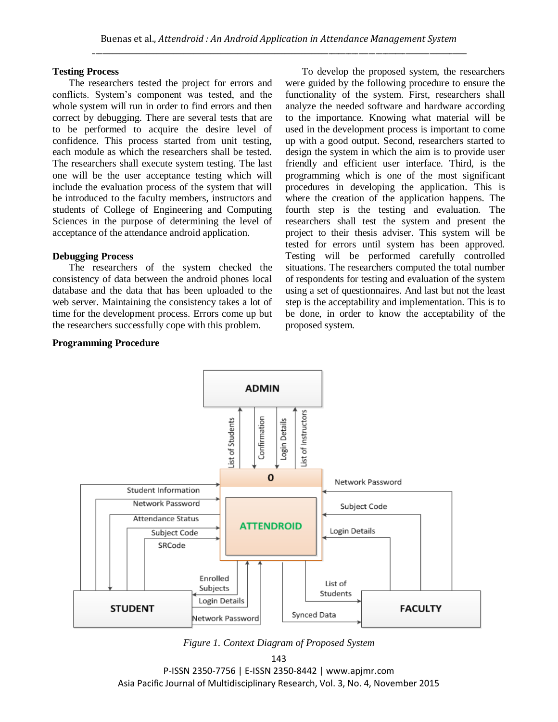## **Testing Process**

The researchers tested the project for errors and conflicts. System's component was tested, and the whole system will run in order to find errors and then correct by debugging. There are several tests that are to be performed to acquire the desire level of confidence. This process started from unit testing, each module as which the researchers shall be tested. The researchers shall execute system testing. The last one will be the user acceptance testing which will include the evaluation process of the system that will be introduced to the faculty members, instructors and students of College of Engineering and Computing Sciences in the purpose of determining the level of acceptance of the attendance android application.

## **Debugging Process**

The researchers of the system checked the consistency of data between the android phones local database and the data that has been uploaded to the web server. Maintaining the consistency takes a lot of time for the development process. Errors come up but the researchers successfully cope with this problem.

## **Programming Procedure**

To develop the proposed system, the researchers were guided by the following procedure to ensure the functionality of the system. First, researchers shall analyze the needed software and hardware according to the importance. Knowing what material will be used in the development process is important to come up with a good output. Second, researchers started to design the system in which the aim is to provide user friendly and efficient user interface. Third, is the programming which is one of the most significant procedures in developing the application. This is where the creation of the application happens. The fourth step is the testing and evaluation. The researchers shall test the system and present the project to their thesis adviser. This system will be tested for errors until system has been approved. Testing will be performed carefully controlled situations. The researchers computed the total number of respondents for testing and evaluation of the system using a set of questionnaires. And last but not the least step is the acceptability and implementation. This is to be done, in order to know the acceptability of the proposed system.



*Figure 1. Context Diagram of Proposed System*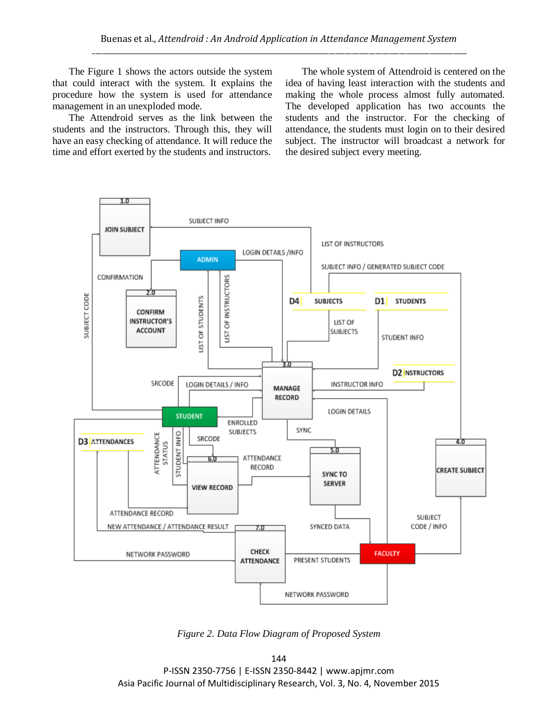The Figure 1 shows the actors outside the system that could interact with the system. It explains the procedure how the system is used for attendance management in an unexploded mode.

The Attendroid serves as the link between the students and the instructors. Through this, they will have an easy checking of attendance. It will reduce the time and effort exerted by the students and instructors.

The whole system of Attendroid is centered on the idea of having least interaction with the students and making the whole process almost fully automated. The developed application has two accounts the students and the instructor. For the checking of attendance, the students must login on to their desired subject. The instructor will broadcast a network for the desired subject every meeting.



*Figure 2. Data Flow Diagram of Proposed System*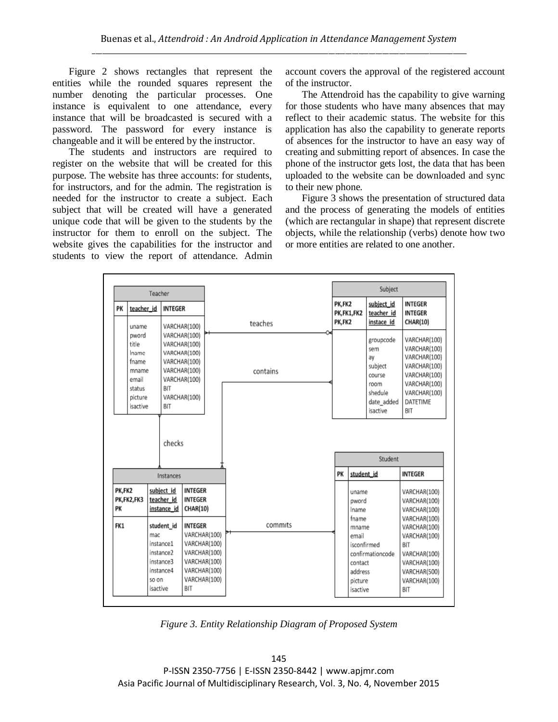Figure 2 shows rectangles that represent the entities while the rounded squares represent the number denoting the particular processes. One instance is equivalent to one attendance, every instance that will be broadcasted is secured with a password. The password for every instance is changeable and it will be entered by the instructor.

The students and instructors are required to register on the website that will be created for this purpose. The website has three accounts: for students, for instructors, and for the admin. The registration is needed for the instructor to create a subject. Each subject that will be created will have a generated unique code that will be given to the students by the instructor for them to enroll on the subject. The website gives the capabilities for the instructor and students to view the report of attendance. Admin account covers the approval of the registered account of the instructor.

The Attendroid has the capability to give warning for those students who have many absences that may reflect to their academic status. The website for this application has also the capability to generate reports of absences for the instructor to have an easy way of creating and submitting report of absences. In case the phone of the instructor gets lost, the data that has been uploaded to the website can be downloaded and sync to their new phone.

Figure 3 shows the presentation of structured data and the process of generating the models of entities (which are rectangular in shape) that represent discrete objects, while the relationship (verbs) denote how two or more entities are related to one another.

| Teacher             |                                                                                              |                          |                                                                                                                                                             |                                                                                                                                                                              |                     |                      |                                                                                                                | Subject                                                                                                |                                                                                                                                                                     |
|---------------------|----------------------------------------------------------------------------------------------|--------------------------|-------------------------------------------------------------------------------------------------------------------------------------------------------------|------------------------------------------------------------------------------------------------------------------------------------------------------------------------------|---------------------|----------------------|----------------------------------------------------------------------------------------------------------------|--------------------------------------------------------------------------------------------------------|---------------------------------------------------------------------------------------------------------------------------------------------------------------------|
| PK                  | teacher id                                                                                   |                          | <b>INTEGER</b>                                                                                                                                              |                                                                                                                                                                              |                     | PK,FK2<br>PK,FK1,FK2 |                                                                                                                | subject id<br>teacher_id                                                                               | <b>INTEGER</b><br><b>INTEGER</b>                                                                                                                                    |
|                     | uname<br>pword<br>title<br>Iname<br>fname<br>mname<br>email<br>status<br>picture<br>isactive |                          | VARCHAR(100)<br>VARCHAR(100)<br>VARCHAR(100)<br>VARCHAR(100)<br>VARCHAR(100)<br>VARCHAR(100)<br>VARCHAR(100)<br>BIT<br>VARCHAR(100)<br><b>BIT</b><br>checks |                                                                                                                                                                              | teaches<br>contains | PK,FK2               |                                                                                                                | instace id<br>groupcode<br>sem<br>av<br>subject<br>course<br>room<br>shedule<br>date added<br>isactive | <b>CHAR(10)</b><br>VARCHAR(100)<br>VARCHAR(100)<br>VARCHAR(100)<br>VARCHAR(100)<br>VARCHAR(100)<br>VARCHAR(100)<br>VARCHAR(100)<br>DATETIME<br><b>BIT</b>           |
|                     |                                                                                              |                          | Student                                                                                                                                                     |                                                                                                                                                                              |                     |                      |                                                                                                                |                                                                                                        |                                                                                                                                                                     |
| Instances           |                                                                                              |                          |                                                                                                                                                             |                                                                                                                                                                              | PK                  | student id           |                                                                                                                | <b>INTEGER</b>                                                                                         |                                                                                                                                                                     |
| PK,FK2<br>PК<br>FK1 | PK,FK2,FK3                                                                                   | mac<br>so on<br>isactive | subject id<br>teacher id<br>instance id<br>student_id<br>instance1<br>instance2<br>instance3<br>instance4                                                   | <b>INTEGER</b><br><b>INTEGER</b><br><b>CHAR(10)</b><br><b>INTEGER</b><br>VARCHAR(100)<br>VARCHAR(100)<br>VARCHAR(100)<br>VARCHAR(100)<br>VARCHAR(100)<br>VARCHAR(100)<br>BIT | commits             |                      | uname<br>pword<br>Iname<br>fname<br>mname<br>email<br>isconfirmed<br>contact<br>address<br>picture<br>isactive | confirmationcode                                                                                       | VARCHAR(100)<br>VARCHAR(100)<br>VARCHAR(100)<br>VARCHAR(100)<br>VARCHAR(100)<br>VARCHAR(100)<br>BIT<br>VARCHAR(100)<br>VARCHAR(100)<br>VARCHAR(500)<br>VARCHAR(100) |

*Figure 3. Entity Relationship Diagram of Proposed System*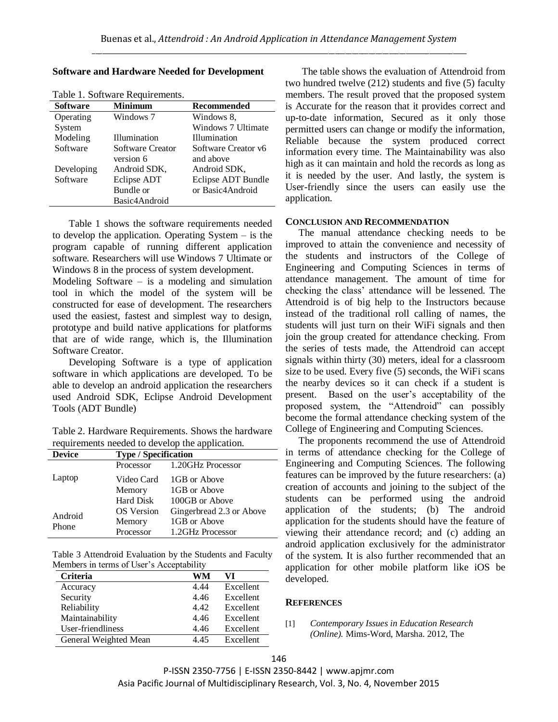### **Software and Hardware Needed for Development**

| Table 1. Software Requirements. |                  |                     |  |  |  |  |
|---------------------------------|------------------|---------------------|--|--|--|--|
| <b>Software</b>                 | <b>Minimum</b>   | <b>Recommended</b>  |  |  |  |  |
| Operating                       | Windows 7        | Windows 8.          |  |  |  |  |
| System                          |                  | Windows 7 Ultimate  |  |  |  |  |
| Modeling                        | Illumination     | Illumination        |  |  |  |  |
| Software                        | Software Creator | Software Creator y6 |  |  |  |  |
|                                 | version 6        | and above           |  |  |  |  |
| Developing                      | Android SDK.     | Android SDK,        |  |  |  |  |
| Software                        | Eclipse ADT      | Eclipse ADT Bundle  |  |  |  |  |
|                                 | Bundle or        | or Basic4Android    |  |  |  |  |
|                                 | Basic4Android    |                     |  |  |  |  |

Table 1. Software Requirements.

Table 1 shows the software requirements needed to develop the application. Operating System – is the program capable of running different application software. Researchers will use Windows 7 Ultimate or Windows 8 in the process of system development.

Modeling Software  $-$  is a modeling and simulation tool in which the model of the system will be constructed for ease of development. The researchers used the easiest, fastest and simplest way to design, prototype and build native applications for platforms that are of wide range, which is, the Illumination Software Creator.

Developing Software is a type of application software in which applications are developed. To be able to develop an android application the researchers used Android SDK, Eclipse Android Development Tools (ADT Bundle)

Table 2. Hardware Requirements. Shows the hardware requirements needed to develop the application.

| <b>Device</b> | <b>Type / Specification</b> |                          |  |
|---------------|-----------------------------|--------------------------|--|
|               | Processor                   | 1.20GHz Processor        |  |
| Laptop        | Video Card                  | 1GB or Above             |  |
|               | Memory                      | 1GB or Above             |  |
|               | Hard Disk                   | 100GB or Above           |  |
| Android       | <b>OS</b> Version           | Gingerbread 2.3 or Above |  |
| Phone         | Memory                      | 1GB or Above             |  |
|               | Processor                   | 1.2GHz Processor         |  |

Table 3 Attendroid Evaluation by the Students and Faculty Members in terms of User's Acceptability

| <b>Criteria</b>       | WM   | VI        |
|-----------------------|------|-----------|
| Accuracy              | 4.44 | Excellent |
| Security              | 4.46 | Excellent |
| Reliability           | 4.42 | Excellent |
| Maintainability       | 4.46 | Excellent |
| User-friendliness     | 4.46 | Excellent |
| General Weighted Mean | 4.45 | Excellent |

The table shows the evaluation of Attendroid from two hundred twelve (212) students and five (5) faculty members. The result proved that the proposed system is Accurate for the reason that it provides correct and up-to-date information, Secured as it only those permitted users can change or modify the information, Reliable because the system produced correct information every time. The Maintainability was also high as it can maintain and hold the records as long as it is needed by the user. And lastly, the system is User-friendly since the users can easily use the application.

#### **CONCLUSION AND RECOMMENDATION**

The manual attendance checking needs to be improved to attain the convenience and necessity of the students and instructors of the College of Engineering and Computing Sciences in terms of attendance management. The amount of time for checking the class' attendance will be lessened. The Attendroid is of big help to the Instructors because instead of the traditional roll calling of names, the students will just turn on their WiFi signals and then join the group created for attendance checking. From the series of tests made, the Attendroid can accept signals within thirty (30) meters, ideal for a classroom size to be used. Every five (5) seconds, the WiFi scans the nearby devices so it can check if a student is present. Based on the user's acceptability of the proposed system, the "Attendroid" can possibly become the formal attendance checking system of the College of Engineering and Computing Sciences.

The proponents recommend the use of Attendroid in terms of attendance checking for the College of Engineering and Computing Sciences. The following features can be improved by the future researchers: (a) creation of accounts and joining to the subject of the students can be performed using the android application of the students; (b) The android application for the students should have the feature of viewing their attendance record; and (c) adding an android application exclusively for the administrator of the system. It is also further recommended that an application for other mobile platform like iOS be developed.

## **REFERENCES**

### [1] *Contemporary Issues in Education Research (Online).* Mims-Word, Marsha. 2012, The